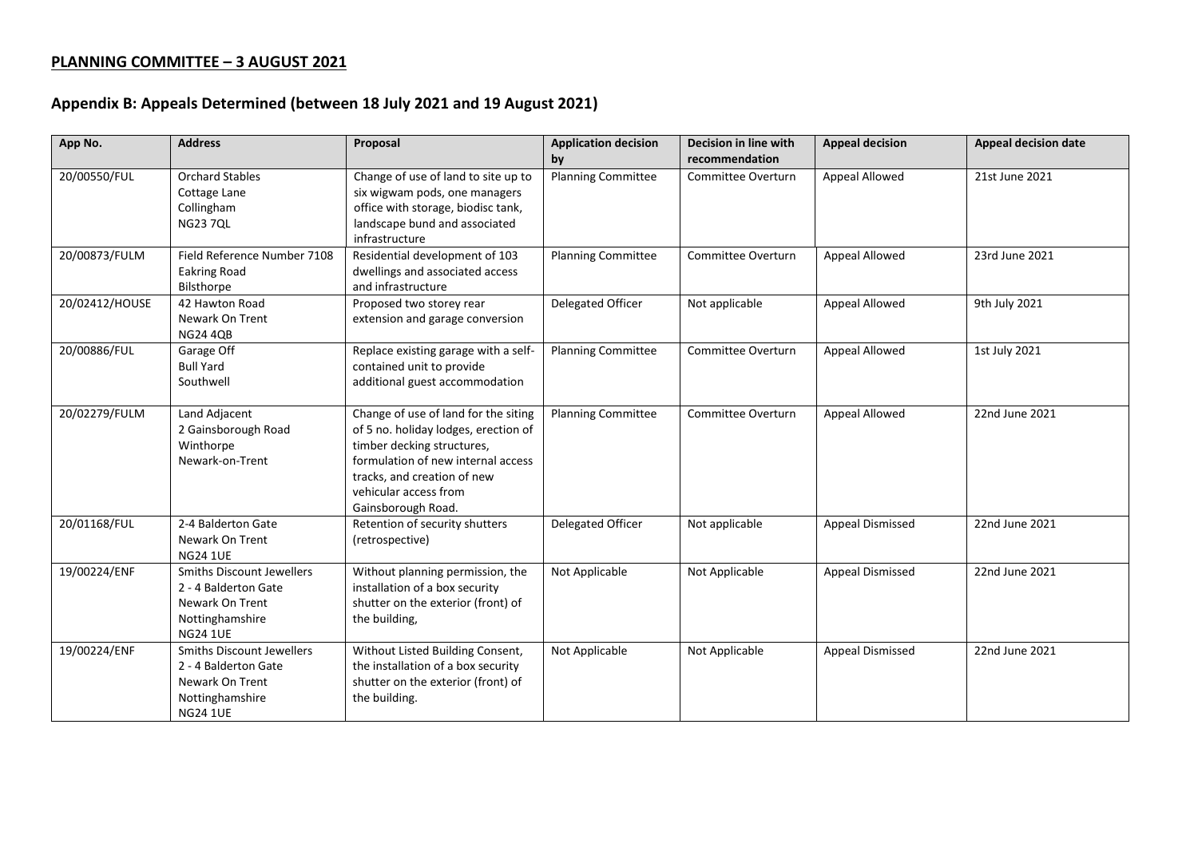## **PLANNING COMMITTEE – 3 AUGUST 2021**

## **Appendix B: Appeals Determined (between 18 July 2021 and 19 August 2021)**

| App No.        | <b>Address</b>                                                                                                           | Proposal                                                                                                                                                                                                                       | <b>Application decision</b><br>by | Decision in line with<br>recommendation | <b>Appeal decision</b>  | <b>Appeal decision date</b> |
|----------------|--------------------------------------------------------------------------------------------------------------------------|--------------------------------------------------------------------------------------------------------------------------------------------------------------------------------------------------------------------------------|-----------------------------------|-----------------------------------------|-------------------------|-----------------------------|
| 20/00550/FUL   | <b>Orchard Stables</b><br>Cottage Lane<br>Collingham<br><b>NG23 7QL</b>                                                  | Change of use of land to site up to<br>six wigwam pods, one managers<br>office with storage, biodisc tank,<br>landscape bund and associated<br>infrastructure                                                                  | <b>Planning Committee</b>         | Committee Overturn                      | Appeal Allowed          | 21st June 2021              |
| 20/00873/FULM  | Field Reference Number 7108<br><b>Eakring Road</b><br>Bilsthorpe                                                         | Residential development of 103<br>dwellings and associated access<br>and infrastructure                                                                                                                                        | <b>Planning Committee</b>         | <b>Committee Overturn</b>               | Appeal Allowed          | 23rd June 2021              |
| 20/02412/HOUSE | 42 Hawton Road<br>Newark On Trent<br><b>NG24 4QB</b>                                                                     | Proposed two storey rear<br>extension and garage conversion                                                                                                                                                                    | Delegated Officer                 | Not applicable                          | Appeal Allowed          | 9th July 2021               |
| 20/00886/FUL   | Garage Off<br><b>Bull Yard</b><br>Southwell                                                                              | Replace existing garage with a self-<br>contained unit to provide<br>additional guest accommodation                                                                                                                            | <b>Planning Committee</b>         | <b>Committee Overturn</b>               | Appeal Allowed          | 1st July 2021               |
| 20/02279/FULM  | Land Adjacent<br>2 Gainsborough Road<br>Winthorpe<br>Newark-on-Trent                                                     | Change of use of land for the siting<br>of 5 no. holiday lodges, erection of<br>timber decking structures,<br>formulation of new internal access<br>tracks, and creation of new<br>vehicular access from<br>Gainsborough Road. | <b>Planning Committee</b>         | <b>Committee Overturn</b>               | Appeal Allowed          | 22nd June 2021              |
| 20/01168/FUL   | 2-4 Balderton Gate<br>Newark On Trent<br><b>NG24 1UE</b>                                                                 | Retention of security shutters<br>(retrospective)                                                                                                                                                                              | Delegated Officer                 | Not applicable                          | <b>Appeal Dismissed</b> | 22nd June 2021              |
| 19/00224/ENF   | <b>Smiths Discount Jewellers</b><br>2 - 4 Balderton Gate<br>Newark On Trent<br>Nottinghamshire<br><b>NG24 1UE</b>        | Without planning permission, the<br>installation of a box security<br>shutter on the exterior (front) of<br>the building,                                                                                                      | Not Applicable                    | Not Applicable                          | <b>Appeal Dismissed</b> | 22nd June 2021              |
| 19/00224/ENF   | <b>Smiths Discount Jewellers</b><br>2 - 4 Balderton Gate<br><b>Newark On Trent</b><br>Nottinghamshire<br><b>NG24 1UE</b> | Without Listed Building Consent,<br>the installation of a box security<br>shutter on the exterior (front) of<br>the building.                                                                                                  | Not Applicable                    | Not Applicable                          | <b>Appeal Dismissed</b> | 22nd June 2021              |